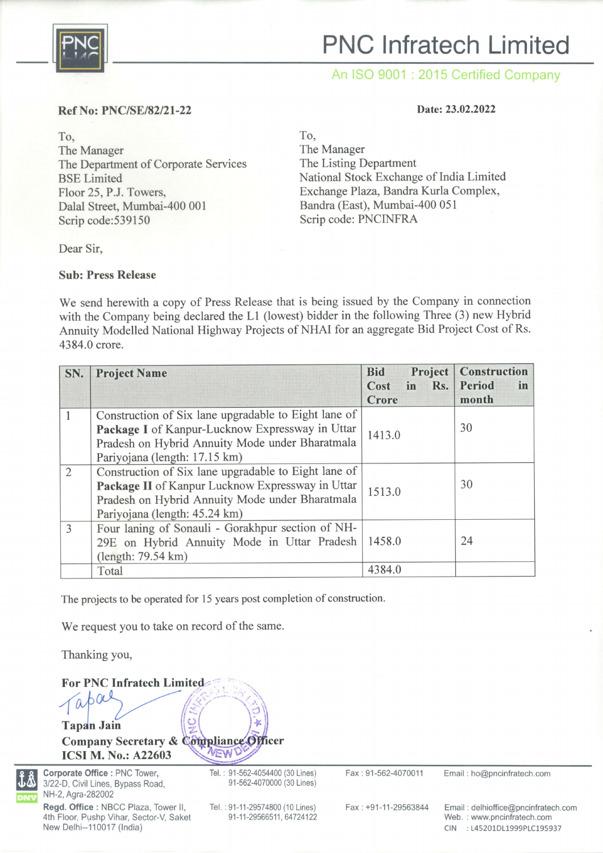

# PNC lnfratech Limited

An ISO 9001 : 2015 Certified Company

#### Ref No: PNC/SE/82/21-22

### To, The Manager The Department of Corporate Services BSE Limited Floor 25, P.J. Towers, Dalal Street, Mumbai-400 001 Scrip code:539150

#### Date: 23.02.2022

To,

The Manager The Listing Department National Stock Exchange of India Limited Exchange Plaza, Bandra Kurla Complex, Bandra (East), Mumbai-400 051 Scrip code: PNCINFRA

Dear Sir,

#### Sub: Press Release

We send herewith a copy of Press Release that is being issued by the Company in connection with the Company being declared the L1 (lowest) bidder in the following Three (3) new Hybrid Annuity Modelled National Highway Projects of NHAI for an aggregate Bid Project Cost of Rs. 4384.0 crore.

| SN.            | <b>Project Name</b>                                  | Project<br><b>Bid</b><br>in Rs.<br>Cost<br>Crore | <b>Construction</b><br>Period<br>in<br>month |
|----------------|------------------------------------------------------|--------------------------------------------------|----------------------------------------------|
|                | Construction of Six lane upgradable to Eight lane of | 1413.0                                           | 30                                           |
|                | Package I of Kanpur-Lucknow Expressway in Uttar      |                                                  |                                              |
|                | Pradesh on Hybrid Annuity Mode under Bharatmala      |                                                  |                                              |
|                | Pariyojana (length: 17.15 km)                        |                                                  |                                              |
| $\overline{2}$ | Construction of Six lane upgradable to Eight lane of | 1513.0                                           | 30                                           |
|                | Package II of Kanpur Lucknow Expressway in Uttar     |                                                  |                                              |
|                | Pradesh on Hybrid Annuity Mode under Bharatmala      |                                                  |                                              |
|                | Pariyojana (length: 45.24 km)                        |                                                  |                                              |
| 3              | Four laning of Sonauli - Gorakhpur section of NH-    | 1458.0                                           | 24                                           |
|                | 29E on Hybrid Annuity Mode in Uttar Pradesh          |                                                  |                                              |
|                | (length: 79.54 km)                                   |                                                  |                                              |
|                | Total                                                | 4384.0                                           |                                              |

The projects to be operated for l5 years post completion of construction.

We request you to take on record of the same.

Thanking you,

For PNC Infratech Limited.  $\int_{\mathscr{F}}$ Tapdn Jain ,/-:- Company Secretary & Compliance Officer VEW ICSI M. No.: A22603

Corporate Office : PNC Tower, 3122-D, Civil Lines, Bypass Road, NH-2, Agra-282002

Regd. Office : NBCC Plaza, Tower ll, 4th Floor, Pushp Vihar, Sector-V, Saket New Delhi--110017 (India)

Tel. : 91-562-4054400 (30 Lines) 91-5624070000 (30 Lines)

Tel. :91-11-29574800 (10 Lines) 91-11-29566511, 64724122

Fax : 91-562-4070011 Email : ho@pncinfratech.com

Fax:+91-11-29563844 Email : delhioffice@pncinfratech.com Web. : www.pncinfratech.com CIN :145201D11999P1C195937